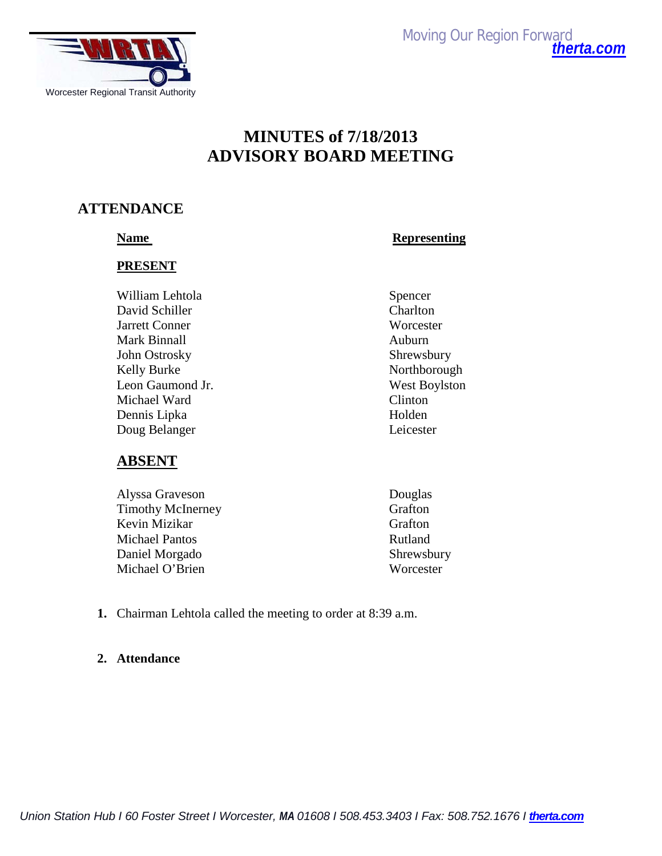

*Moving Our Region Forward [therta.com](http://therta.com/)*

# **MINUTES of 7/18/2013 ADVISORY BOARD MEETING**

## **ATTENDANCE**

**Name** Representing

#### **PRESENT**

William Lehtola Spencer David Schiller Charlton Jarrett Conner Worcester Mark Binnall **Auburn** John Ostrosky Shrewsbury Kelly Burke Northborough Leon Gaumond Jr. West Boylston Michael Ward Clinton Dennis Lipka Holden Doug Belanger Leicester

## **ABSENT**

Alyssa Graveson Douglas Timothy McInerney Grafton Kevin Mizikar Grafton Michael Pantos Rutland Daniel Morgado Shrewsbury Michael O'Brien Worcester

- 
- **1.** Chairman Lehtola called the meeting to order at 8:39 a.m.

## **2. Attendance**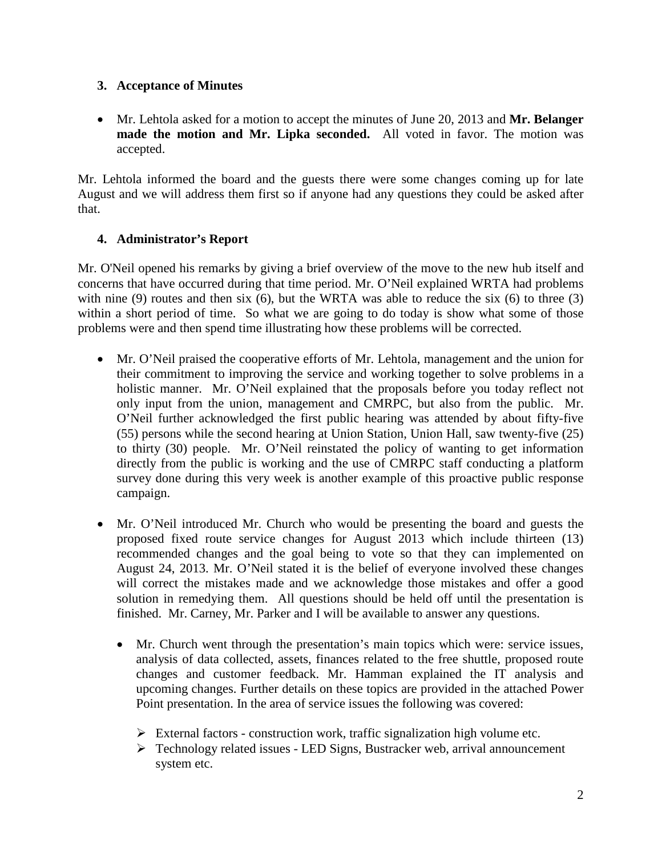## **3. Acceptance of Minutes**

• Mr. Lehtola asked for a motion to accept the minutes of June 20, 2013 and **Mr. Belanger made the motion and Mr. Lipka seconded.** All voted in favor. The motion was accepted.

Mr. Lehtola informed the board and the guests there were some changes coming up for late August and we will address them first so if anyone had any questions they could be asked after that.

## **4. Administrator's Report**

Mr. O'Neil opened his remarks by giving a brief overview of the move to the new hub itself and concerns that have occurred during that time period. Mr. O'Neil explained WRTA had problems with nine (9) routes and then six (6), but the WRTA was able to reduce the six (6) to three (3) within a short period of time. So what we are going to do today is show what some of those problems were and then spend time illustrating how these problems will be corrected.

- Mr. O'Neil praised the cooperative efforts of Mr. Lehtola, management and the union for their commitment to improving the service and working together to solve problems in a holistic manner. Mr. O'Neil explained that the proposals before you today reflect not only input from the union, management and CMRPC, but also from the public. Mr. O'Neil further acknowledged the first public hearing was attended by about fifty-five (55) persons while the second hearing at Union Station, Union Hall, saw twenty-five (25) to thirty (30) people. Mr. O'Neil reinstated the policy of wanting to get information directly from the public is working and the use of CMRPC staff conducting a platform survey done during this very week is another example of this proactive public response campaign.
- Mr. O'Neil introduced Mr. Church who would be presenting the board and guests the proposed fixed route service changes for August 2013 which include thirteen (13) recommended changes and the goal being to vote so that they can implemented on August 24, 2013. Mr. O'Neil stated it is the belief of everyone involved these changes will correct the mistakes made and we acknowledge those mistakes and offer a good solution in remedying them. All questions should be held off until the presentation is finished. Mr. Carney, Mr. Parker and I will be available to answer any questions.
	- Mr. Church went through the presentation's main topics which were: service issues, analysis of data collected, assets, finances related to the free shuttle, proposed route changes and customer feedback. Mr. Hamman explained the IT analysis and upcoming changes. Further details on these topics are provided in the attached Power Point presentation. In the area of service issues the following was covered:
		- $\triangleright$  External factors construction work, traffic signalization high volume etc.
		- Technology related issues LED Signs, Bustracker web, arrival announcement system etc.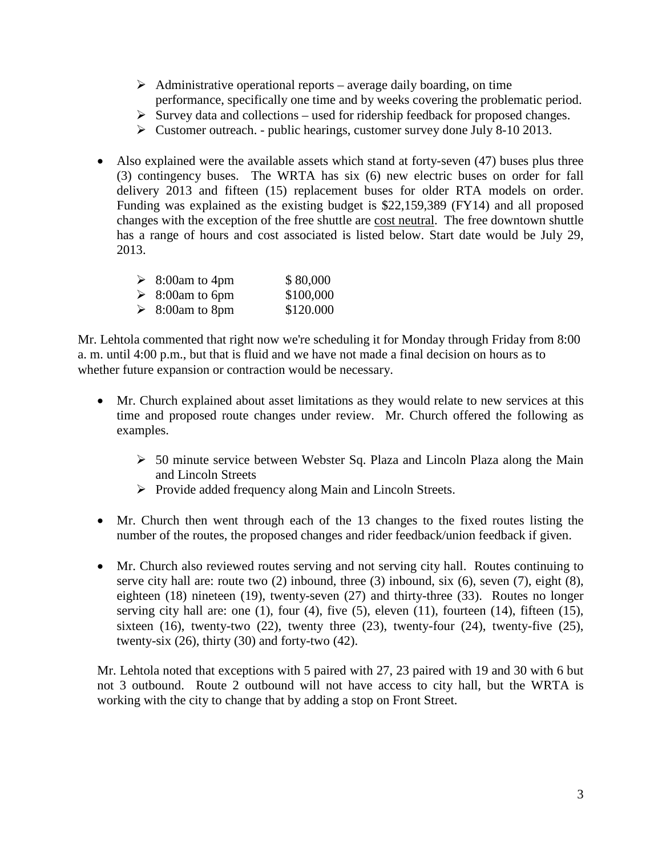- $\triangleright$  Administrative operational reports average daily boarding, on time performance, specifically one time and by weeks covering the problematic period.
- $\triangleright$  Survey data and collections used for ridership feedback for proposed changes.
- $\triangleright$  Customer outreach. public hearings, customer survey done July 8-10 2013.
- Also explained were the available assets which stand at forty-seven (47) buses plus three (3) contingency buses. The WRTA has six (6) new electric buses on order for fall delivery 2013 and fifteen (15) replacement buses for older RTA models on order. Funding was explained as the existing budget is \$22,159,389 (FY14) and all proposed changes with the exception of the free shuttle are cost neutral. The free downtown shuttle has a range of hours and cost associated is listed below. Start date would be July 29, 2013.

| $\geq 8:00$ am to 4pm            | \$80,000  |
|----------------------------------|-----------|
| $\triangleright$ 8:00 am to 6 pm | \$100,000 |
| $\triangleright$ 8:00 am to 8pm  | \$120.000 |

Mr. Lehtola commented that right now we're scheduling it for Monday through Friday from 8:00 a. m. until 4:00 p.m., but that is fluid and we have not made a final decision on hours as to whether future expansion or contraction would be necessary.

- Mr. Church explained about asset limitations as they would relate to new services at this time and proposed route changes under review. Mr. Church offered the following as examples.
	- $\geq$  50 minute service between Webster Sq. Plaza and Lincoln Plaza along the Main and Lincoln Streets
	- $\triangleright$  Provide added frequency along Main and Lincoln Streets.
- Mr. Church then went through each of the 13 changes to the fixed routes listing the number of the routes, the proposed changes and rider feedback/union feedback if given.
- Mr. Church also reviewed routes serving and not serving city hall. Routes continuing to serve city hall are: route two (2) inbound, three (3) inbound, six (6), seven (7), eight (8), eighteen (18) nineteen (19), twenty-seven (27) and thirty-three (33). Routes no longer serving city hall are: one  $(1)$ , four  $(4)$ , five  $(5)$ , eleven  $(11)$ , fourteen  $(14)$ , fifteen  $(15)$ , sixteen  $(16)$ , twenty-two  $(22)$ , twenty three  $(23)$ , twenty-four  $(24)$ , twenty-five  $(25)$ , twenty-six  $(26)$ , thirty  $(30)$  and forty-two  $(42)$ .

Mr. Lehtola noted that exceptions with 5 paired with 27, 23 paired with 19 and 30 with 6 but not 3 outbound. Route 2 outbound will not have access to city hall, but the WRTA is working with the city to change that by adding a stop on Front Street.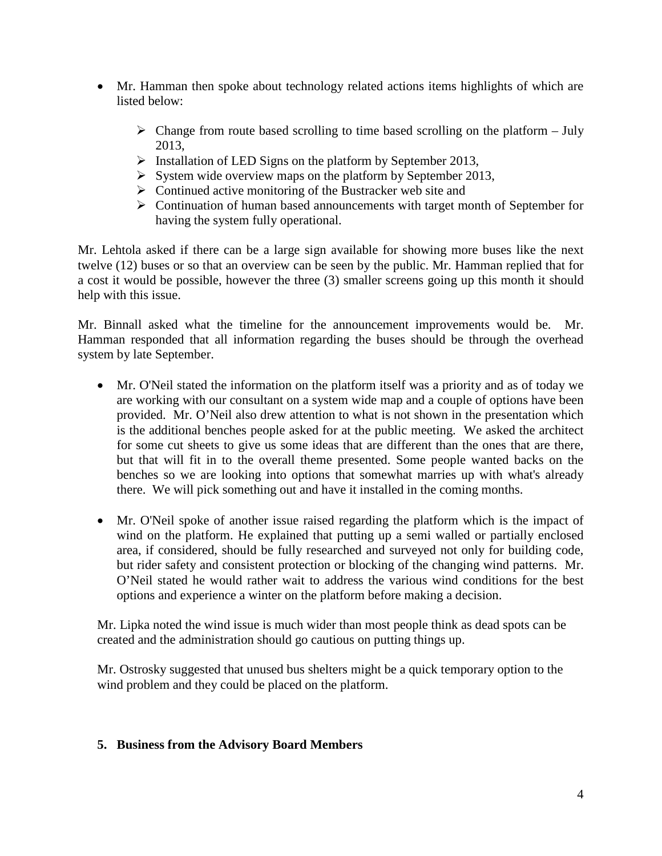- Mr. Hamman then spoke about technology related actions items highlights of which are listed below:
	- $\triangleright$  Change from route based scrolling to time based scrolling on the platform July 2013,
	- $\triangleright$  Installation of LED Signs on the platform by September 2013,
	- $\triangleright$  System wide overview maps on the platform by September 2013,
	- $\triangleright$  Continued active monitoring of the Bustracker web site and
	- $\triangleright$  Continuation of human based announcements with target month of September for having the system fully operational.

Mr. Lehtola asked if there can be a large sign available for showing more buses like the next twelve (12) buses or so that an overview can be seen by the public. Mr. Hamman replied that for a cost it would be possible, however the three (3) smaller screens going up this month it should help with this issue.

Mr. Binnall asked what the timeline for the announcement improvements would be. Mr. Hamman responded that all information regarding the buses should be through the overhead system by late September.

- Mr. O'Neil stated the information on the platform itself was a priority and as of today we are working with our consultant on a system wide map and a couple of options have been provided. Mr. O'Neil also drew attention to what is not shown in the presentation which is the additional benches people asked for at the public meeting. We asked the architect for some cut sheets to give us some ideas that are different than the ones that are there, but that will fit in to the overall theme presented. Some people wanted backs on the benches so we are looking into options that somewhat marries up with what's already there. We will pick something out and have it installed in the coming months.
- Mr. O'Neil spoke of another issue raised regarding the platform which is the impact of wind on the platform. He explained that putting up a semi walled or partially enclosed area, if considered, should be fully researched and surveyed not only for building code, but rider safety and consistent protection or blocking of the changing wind patterns. Mr. O'Neil stated he would rather wait to address the various wind conditions for the best options and experience a winter on the platform before making a decision.

Mr. Lipka noted the wind issue is much wider than most people think as dead spots can be created and the administration should go cautious on putting things up.

Mr. Ostrosky suggested that unused bus shelters might be a quick temporary option to the wind problem and they could be placed on the platform.

## **5. Business from the Advisory Board Members**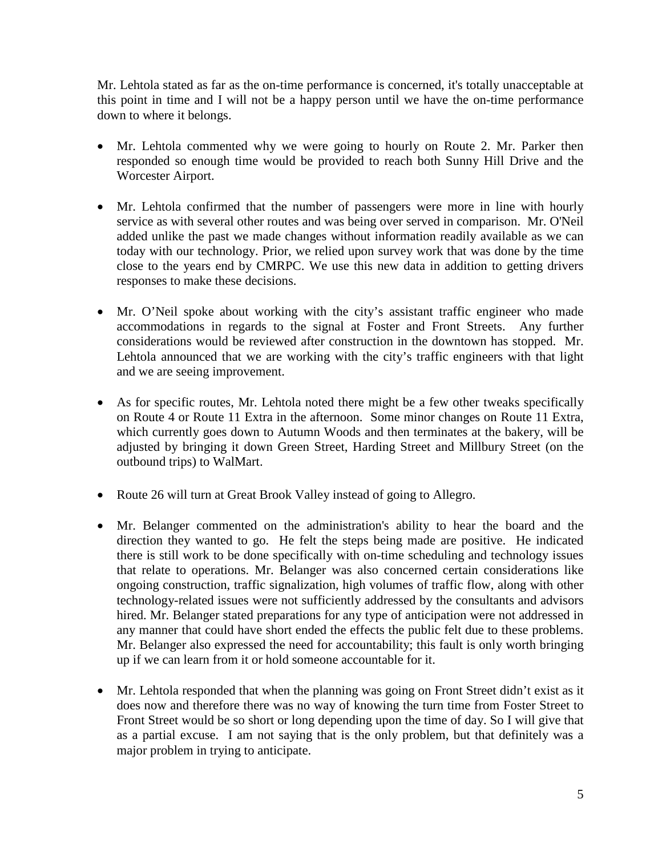Mr. Lehtola stated as far as the on-time performance is concerned, it's totally unacceptable at this point in time and I will not be a happy person until we have the on-time performance down to where it belongs.

- Mr. Lehtola commented why we were going to hourly on Route 2. Mr. Parker then responded so enough time would be provided to reach both Sunny Hill Drive and the Worcester Airport.
- Mr. Lehtola confirmed that the number of passengers were more in line with hourly service as with several other routes and was being over served in comparison. Mr. O'Neil added unlike the past we made changes without information readily available as we can today with our technology. Prior, we relied upon survey work that was done by the time close to the years end by CMRPC. We use this new data in addition to getting drivers responses to make these decisions.
- Mr. O'Neil spoke about working with the city's assistant traffic engineer who made accommodations in regards to the signal at Foster and Front Streets. Any further considerations would be reviewed after construction in the downtown has stopped. Mr. Lehtola announced that we are working with the city's traffic engineers with that light and we are seeing improvement.
- As for specific routes, Mr. Lehtola noted there might be a few other tweaks specifically on Route 4 or Route 11 Extra in the afternoon. Some minor changes on Route 11 Extra, which currently goes down to Autumn Woods and then terminates at the bakery, will be adjusted by bringing it down Green Street, Harding Street and Millbury Street (on the outbound trips) to WalMart.
- Route 26 will turn at Great Brook Valley instead of going to Allegro.
- Mr. Belanger commented on the administration's ability to hear the board and the direction they wanted to go. He felt the steps being made are positive. He indicated there is still work to be done specifically with on-time scheduling and technology issues that relate to operations. Mr. Belanger was also concerned certain considerations like ongoing construction, traffic signalization, high volumes of traffic flow, along with other technology-related issues were not sufficiently addressed by the consultants and advisors hired. Mr. Belanger stated preparations for any type of anticipation were not addressed in any manner that could have short ended the effects the public felt due to these problems. Mr. Belanger also expressed the need for accountability; this fault is only worth bringing up if we can learn from it or hold someone accountable for it.
- Mr. Lehtola responded that when the planning was going on Front Street didn't exist as it does now and therefore there was no way of knowing the turn time from Foster Street to Front Street would be so short or long depending upon the time of day. So I will give that as a partial excuse. I am not saying that is the only problem, but that definitely was a major problem in trying to anticipate.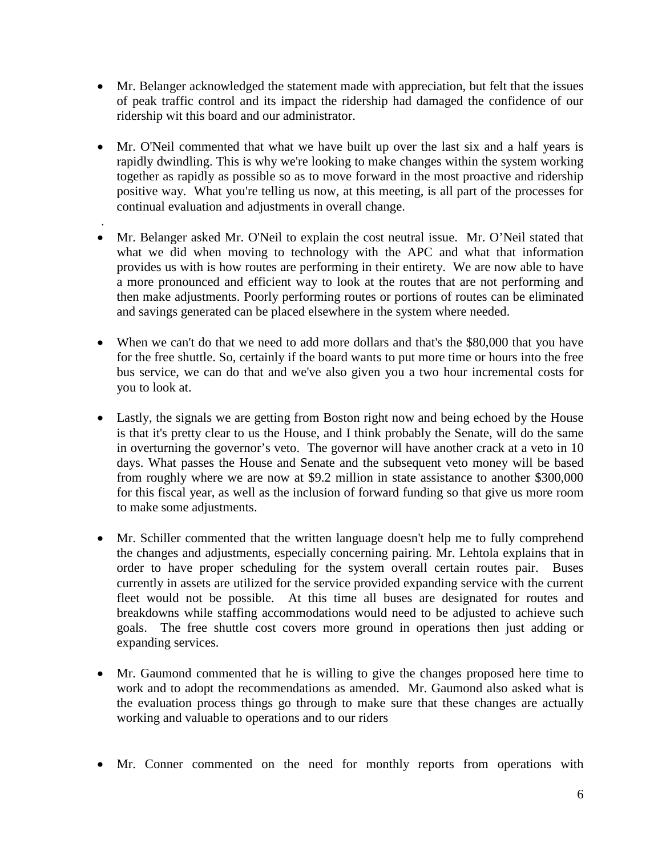- Mr. Belanger acknowledged the statement made with appreciation, but felt that the issues of peak traffic control and its impact the ridership had damaged the confidence of our ridership wit this board and our administrator.
- Mr. O'Neil commented that what we have built up over the last six and a half years is rapidly dwindling. This is why we're looking to make changes within the system working together as rapidly as possible so as to move forward in the most proactive and ridership positive way. What you're telling us now, at this meeting, is all part of the processes for continual evaluation and adjustments in overall change.
- . • Mr. Belanger asked Mr. O'Neil to explain the cost neutral issue. Mr. O'Neil stated that what we did when moving to technology with the APC and what that information provides us with is how routes are performing in their entirety. We are now able to have a more pronounced and efficient way to look at the routes that are not performing and then make adjustments. Poorly performing routes or portions of routes can be eliminated and savings generated can be placed elsewhere in the system where needed.
- When we can't do that we need to add more dollars and that's the \$80,000 that you have for the free shuttle. So, certainly if the board wants to put more time or hours into the free bus service, we can do that and we've also given you a two hour incremental costs for you to look at.
- Lastly, the signals we are getting from Boston right now and being echoed by the House is that it's pretty clear to us the House, and I think probably the Senate, will do the same in overturning the governor's veto. The governor will have another crack at a veto in 10 days. What passes the House and Senate and the subsequent veto money will be based from roughly where we are now at \$9.2 million in state assistance to another \$300,000 for this fiscal year, as well as the inclusion of forward funding so that give us more room to make some adjustments.
- Mr. Schiller commented that the written language doesn't help me to fully comprehend the changes and adjustments, especially concerning pairing. Mr. Lehtola explains that in order to have proper scheduling for the system overall certain routes pair. Buses currently in assets are utilized for the service provided expanding service with the current fleet would not be possible. At this time all buses are designated for routes and breakdowns while staffing accommodations would need to be adjusted to achieve such goals. The free shuttle cost covers more ground in operations then just adding or expanding services.
- Mr. Gaumond commented that he is willing to give the changes proposed here time to work and to adopt the recommendations as amended. Mr. Gaumond also asked what is the evaluation process things go through to make sure that these changes are actually working and valuable to operations and to our riders
- Mr. Conner commented on the need for monthly reports from operations with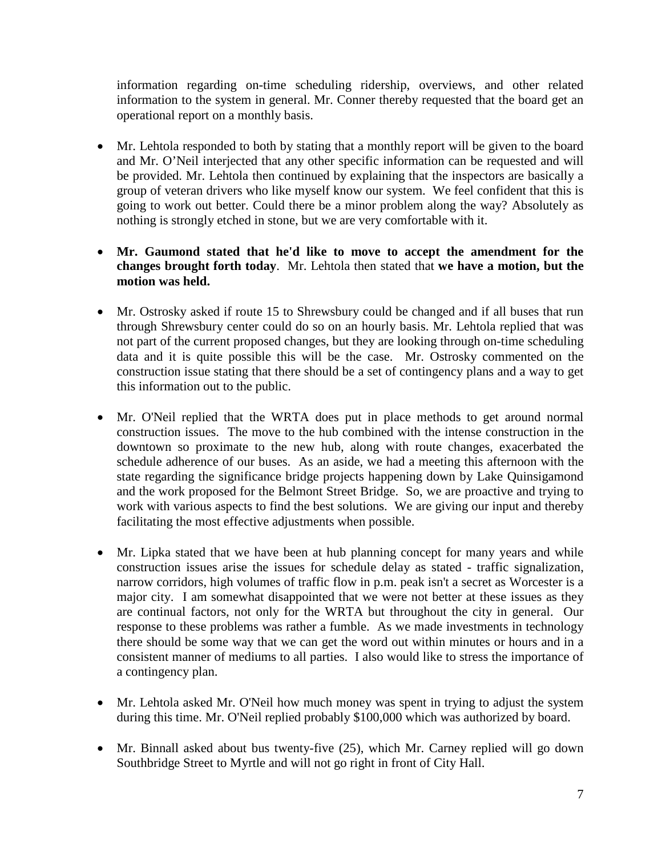information regarding on-time scheduling ridership, overviews, and other related information to the system in general. Mr. Conner thereby requested that the board get an operational report on a monthly basis.

- Mr. Lehtola responded to both by stating that a monthly report will be given to the board and Mr. O'Neil interjected that any other specific information can be requested and will be provided. Mr. Lehtola then continued by explaining that the inspectors are basically a group of veteran drivers who like myself know our system. We feel confident that this is going to work out better. Could there be a minor problem along the way? Absolutely as nothing is strongly etched in stone, but we are very comfortable with it.
- **Mr. Gaumond stated that he'd like to move to accept the amendment for the changes brought forth today**. Mr. Lehtola then stated that **we have a motion, but the motion was held.**
- Mr. Ostrosky asked if route 15 to Shrewsbury could be changed and if all buses that run through Shrewsbury center could do so on an hourly basis. Mr. Lehtola replied that was not part of the current proposed changes, but they are looking through on-time scheduling data and it is quite possible this will be the case. Mr. Ostrosky commented on the construction issue stating that there should be a set of contingency plans and a way to get this information out to the public.
- Mr. O'Neil replied that the WRTA does put in place methods to get around normal construction issues. The move to the hub combined with the intense construction in the downtown so proximate to the new hub, along with route changes, exacerbated the schedule adherence of our buses. As an aside, we had a meeting this afternoon with the state regarding the significance bridge projects happening down by Lake Quinsigamond and the work proposed for the Belmont Street Bridge. So, we are proactive and trying to work with various aspects to find the best solutions. We are giving our input and thereby facilitating the most effective adjustments when possible.
- Mr. Lipka stated that we have been at hub planning concept for many years and while construction issues arise the issues for schedule delay as stated - traffic signalization, narrow corridors, high volumes of traffic flow in p.m. peak isn't a secret as Worcester is a major city. I am somewhat disappointed that we were not better at these issues as they are continual factors, not only for the WRTA but throughout the city in general. Our response to these problems was rather a fumble. As we made investments in technology there should be some way that we can get the word out within minutes or hours and in a consistent manner of mediums to all parties. I also would like to stress the importance of a contingency plan.
- Mr. Lehtola asked Mr. O'Neil how much money was spent in trying to adjust the system during this time. Mr. O'Neil replied probably \$100,000 which was authorized by board.
- Mr. Binnall asked about bus twenty-five (25), which Mr. Carney replied will go down Southbridge Street to Myrtle and will not go right in front of City Hall.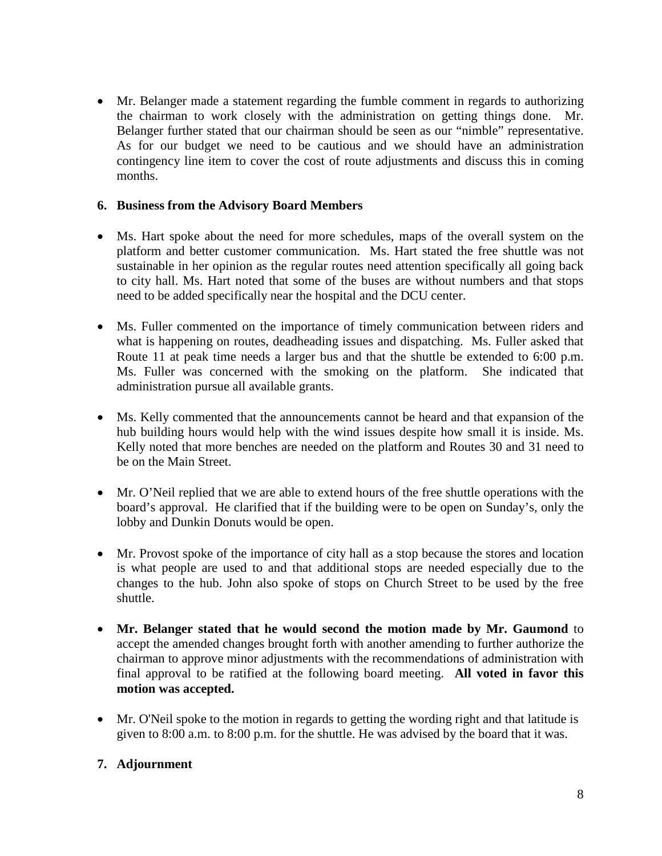• Mr. Belanger made a statement regarding the fumble comment in regards to authorizing the chairman to work closely with the administration on getting things done. Mr. Belanger further stated that our chairman should be seen as our "nimble" representative. As for our budget we need to be cautious and we should have an administration contingency line item to cover the cost of route adjustments and discuss this in coming months.

#### **6. Business from the Advisory Board Members**

- Ms. Hart spoke about the need for more schedules, maps of the overall system on the platform and better customer communication. Ms. Hart stated the free shuttle was not sustainable in her opinion as the regular routes need attention specifically all going back to city hall. Ms. Hart noted that some of the buses are without numbers and that stops need to be added specifically near the hospital and the DCU center.
- Ms. Fuller commented on the importance of timely communication between riders and what is happening on routes, deadheading issues and dispatching. Ms. Fuller asked that Route 11 at peak time needs a larger bus and that the shuttle be extended to 6:00 p.m. Ms. Fuller was concerned with the smoking on the platform. She indicated that administration pursue all available grants.
- Ms. Kelly commented that the announcements cannot be heard and that expansion of the hub building hours would help with the wind issues despite how small it is inside. Ms. Kelly noted that more benches are needed on the platform and Routes 30 and 31 need to be on the Main Street.
- Mr. O'Neil replied that we are able to extend hours of the free shuttle operations with the board's approval. He clarified that if the building were to be open on Sunday's, only the lobby and Dunkin Donuts would be open.
- Mr. Provost spoke of the importance of city hall as a stop because the stores and location is what people are used to and that additional stops are needed especially due to the changes to the hub. John also spoke of stops on Church Street to be used by the free shuttle.
- **Mr. Belanger stated that he would second the motion made by Mr. Gaumond** to accept the amended changes brought forth with another amending to further authorize the chairman to approve minor adjustments with the recommendations of administration with final approval to be ratified at the following board meeting. **All voted in favor this motion was accepted.**
- Mr. O'Neil spoke to the motion in regards to getting the wording right and that latitude is given to 8:00 a.m. to 8:00 p.m. for the shuttle. He was advised by the board that it was.

## **7. Adjournment**